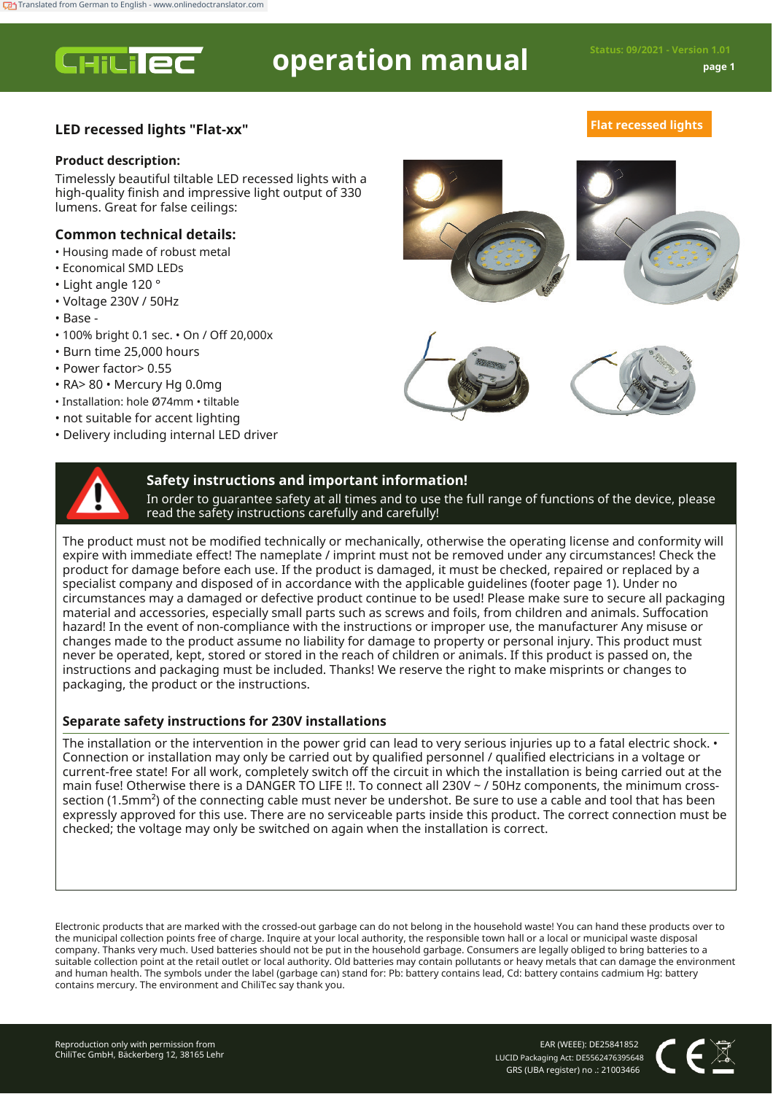**CHILIEC** 

# **operation manual Status: 09/2021 - Version 1.01**

# **LED recessed lights "Flat-xx" Flat recessed lights**

# **Product description:**

Timelessly beautiful tiltable LED recessed lights with a high-quality finish and impressive light output of 330 lumens. Great for false ceilings:

# **Common technical details:**

- Housing made of robust metal
- Economical SMD LEDs
- Light angle 120 °
- Voltage 230V / 50Hz
- Base -
- 100% bright 0.1 sec. On / Off 20,000x
- Burn time 25,000 hours
- Power factor> 0.55
- RA> 80 Mercury Hg 0.0mg
- Installation: hole Ø74mm tiltable
- not suitable for accent lighting
- Delivery including internal LED driver







# **Safety instructions and important information!**

In order to guarantee safety at all times and to use the full range of functions of the device, please read the safety instructions carefully and carefully!

The product must not be modified technically or mechanically, otherwise the operating license and conformity will expire with immediate effect! The nameplate / imprint must not be removed under any circumstances! Check the product for damage before each use. If the product is damaged, it must be checked, repaired or replaced by a specialist company and disposed of in accordance with the applicable guidelines (footer page 1). Under no circumstances may a damaged or defective product continue to be used! Please make sure to secure all packaging material and accessories, especially small parts such as screws and foils, from children and animals. Suffocation hazard! In the event of non-compliance with the instructions or improper use, the manufacturer Any misuse or changes made to the product assume no liability for damage to property or personal injury. This product must never be operated, kept, stored or stored in the reach of children or animals. If this product is passed on, the instructions and packaging must be included. Thanks! We reserve the right to make misprints or changes to packaging, the product or the instructions.

# **Separate safety instructions for 230V installations**

The installation or the intervention in the power grid can lead to very serious injuries up to a fatal electric shock. • Connection or installation may only be carried out by qualified personnel / qualified electricians in a voltage or current-free state! For all work, completely switch off the circuit in which the installation is being carried out at the main fuse! Otherwise there is a DANGER TO LIFE !!. To connect all 230V ~ / 50Hz components, the minimum crosssection (1.5mm²) of the connecting cable must never be undershot. Be sure to use a cable and tool that has been expressly approved for this use. There are no serviceable parts inside this product. The correct connection must be checked; the voltage may only be switched on again when the installation is correct.

Electronic products that are marked with the crossed-out garbage can do not belong in the household waste! You can hand these products over to the municipal collection points free of charge. Inquire at your local authority, the responsible town hall or a local or municipal waste disposal company. Thanks very much. Used batteries should not be put in the household garbage. Consumers are legally obliged to bring batteries to a suitable collection point at the retail outlet or local authority. Old batteries may contain pollutants or heavy metals that can damage the environment and human health. The symbols under the label (garbage can) stand for: Pb: battery contains lead, Cd: battery contains cadmium Hg: battery contains mercury. The environment and ChiliTec say thank you.

EAR (WEEE): DE25841852 LUCID Packaging Act: DE5562476395648 GRS (UBA register) no .: 21003466